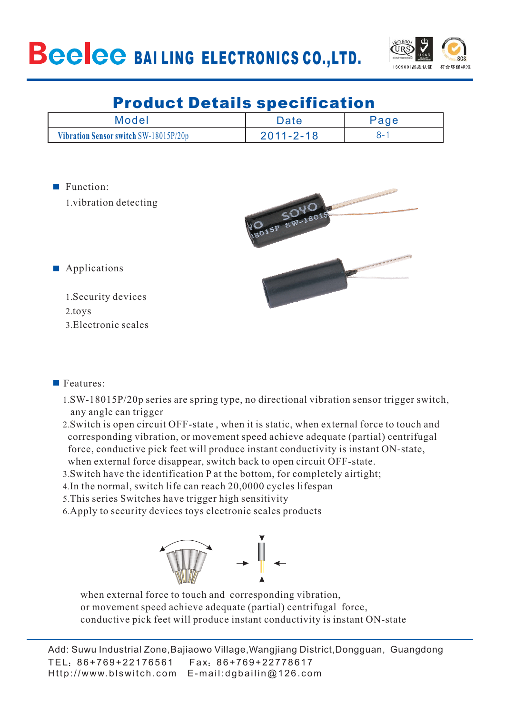

# Product Details specification

| Model                                 | Date            |  |  |  |
|---------------------------------------|-----------------|--|--|--|
| Vibration Sensor switch SW-18015P/20p | $2011 - 2 - 18$ |  |  |  |

Function:

1.vibration detecting



**Applications** 

1. Security devices 2.toys Electronic scales 3.

### Features:

- 1. SW-18015P/20p series are spring type, no directional vibration sensor trigger switch, any angle can trigger
- 2. Switch is open circuit OFF-state , when it is static, when external force to touch and corresponding vibration, or movement speed achieve adequate (partial) centrifugal force, conductive pick feet will produce instant conductivity is instant ON-state, when external force disappear, switch back to open circuit OFF-state.
- 3. Switch have the identification P at the bottom, for completely airtight;
- 4. In the normal, switch life can reach 20,0000 cycles lifespan
- 5. This series Switches have trigger high sensitivity
- 6. Apply to security devices toys electronic scales products



when external force to touch and corresponding vibration, or movement speed achieve adequate (partial) centrifugal force, conductive pick feet will produce instant conductivity is instant ON-state

TEL: 86+769+22176561 Fax: 86+769+22778617 Http://www.blswitch.com E-mail:dgbailin@126.com Add: Suwu Industrial Zone,Bajiaowo Village,Wangjiang District,Dongguan, Guangdong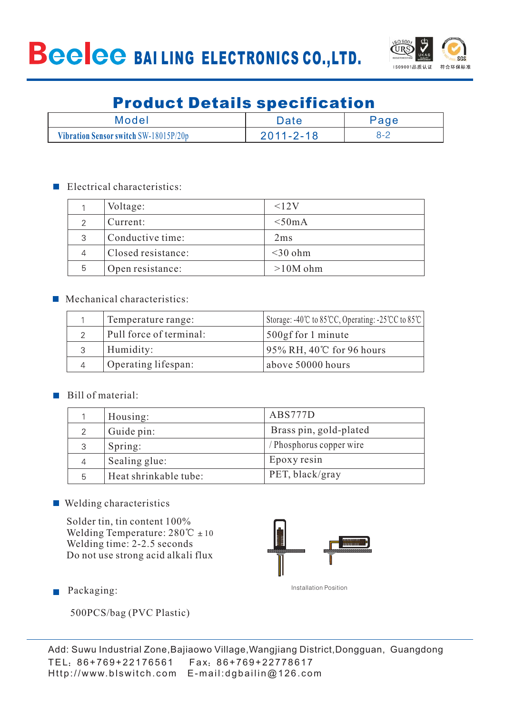

# Product Details specification

| Model                                 | Date            | $\mathsf{Page}$ |  |  |
|---------------------------------------|-----------------|-----------------|--|--|
| Vibration Sensor switch SW-18015P/20p | $2011 - 2 - 18$ | $8 - 2$         |  |  |

#### $\blacksquare$  Electrical characteristics:

|   | Voltage:           | $\leq12V$  |
|---|--------------------|------------|
| ⌒ | Current:           | $<$ 50mA   |
| 3 | Conductive time:   | 2ms        |
|   | Closed resistance: | $<$ 30 ohm |
| 5 | Open resistance:   | $>10M$ ohm |

#### **Mechanical characteristics:**

|                | Temperature range:      | Storage: -40°C to 85°CC, Operating: -25°CC to 85°C |
|----------------|-------------------------|----------------------------------------------------|
|                | Pull force of terminal: | 500gf for 1 minute                                 |
|                | Humidity:               | $95\%$ RH, 40°C for 96 hours                       |
| $\overline{4}$ | Operating lifespan:     | above 50000 hours                                  |

#### Bill of material:

|   | Housing:              | ABS777D                  |
|---|-----------------------|--------------------------|
|   | Guide pin:            | Brass pin, gold-plated   |
|   | Spring:               | / Phosphorus copper wire |
|   | Sealing glue:         | Epoxy resin              |
| 5 | Heat shrinkable tube: | PET, black/gray          |

#### ■ Welding characteristics

Solder tin, tin content 100% Welding Temperature:  $280^{\circ}\text{C} \pm 10$ Welding time: 2-2.5 seconds Do not use strong acid alkali flux



**Packaging:** 

500PCS/bag (PVC Plastic)

TEL: 86+769+22176561 Fax: 86+769+22778617 Http://www.blswitch.com E-mail:dgbailin@126.com Add: Suwu Industrial Zone,Bajiaowo Village,Wangjiang District,Dongguan, Guangdong